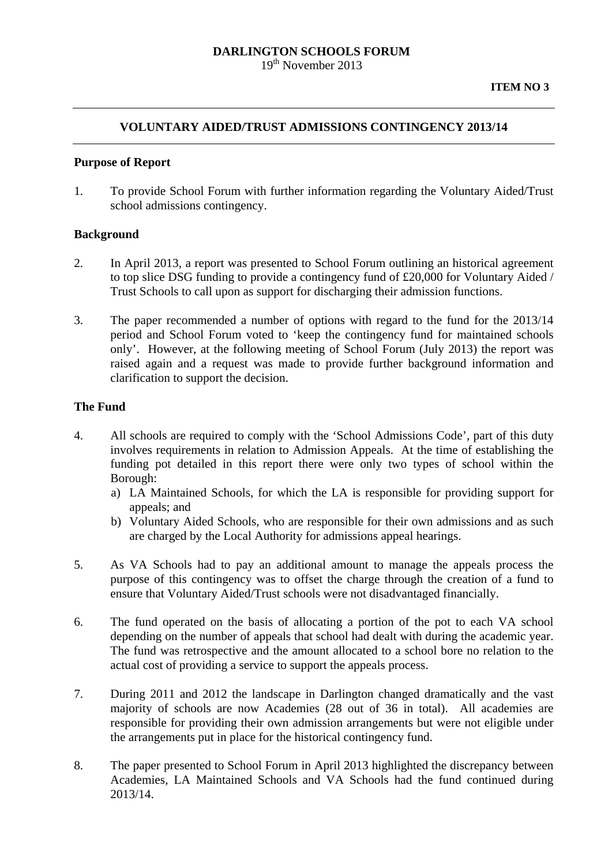# **DARLINGTON SCHOOLS FORUM**

19<sup>th</sup> November 2013

## **VOLUNTARY AIDED/TRUST ADMISSIONS CONTINGENCY 2013/14**

## **Purpose of Report**

1. To provide School Forum with further information regarding the Voluntary Aided/Trust school admissions contingency.

#### **Background**

- 2. In April 2013, a report was presented to School Forum outlining an historical agreement to top slice DSG funding to provide a contingency fund of £20,000 for Voluntary Aided / Trust Schools to call upon as support for discharging their admission functions.
- 3. The paper recommended a number of options with regard to the fund for the 2013/14 period and School Forum voted to 'keep the contingency fund for maintained schools only'. However, at the following meeting of School Forum (July 2013) the report was raised again and a request was made to provide further background information and clarification to support the decision.

#### **The Fund**

- 4. All schools are required to comply with the 'School Admissions Code', part of this duty involves requirements in relation to Admission Appeals. At the time of establishing the funding pot detailed in this report there were only two types of school within the Borough:
	- a) LA Maintained Schools, for which the LA is responsible for providing support for appeals; and
	- b) Voluntary Aided Schools, who are responsible for their own admissions and as such are charged by the Local Authority for admissions appeal hearings.
- 5. As VA Schools had to pay an additional amount to manage the appeals process the purpose of this contingency was to offset the charge through the creation of a fund to ensure that Voluntary Aided/Trust schools were not disadvantaged financially.
- 6. The fund operated on the basis of allocating a portion of the pot to each VA school depending on the number of appeals that school had dealt with during the academic year. The fund was retrospective and the amount allocated to a school bore no relation to the actual cost of providing a service to support the appeals process.
- 7. During 2011 and 2012 the landscape in Darlington changed dramatically and the vast majority of schools are now Academies (28 out of 36 in total). All academies are responsible for providing their own admission arrangements but were not eligible under the arrangements put in place for the historical contingency fund.
- 8. The paper presented to School Forum in April 2013 highlighted the discrepancy between Academies, LA Maintained Schools and VA Schools had the fund continued during 2013/14.